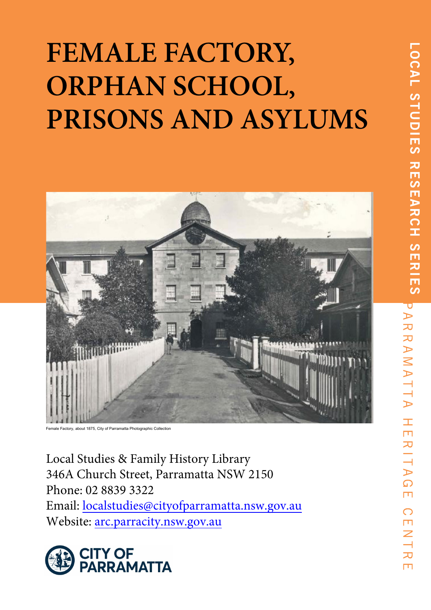# **FEMALE FACTORY, ORPHAN SCHOOL, PRISONS AND ASYLUMS**



Female Factory, about 1875, City of Parramatta Photographic Collection

Local Studies & Family History Library 346A Church Street, Parramatta NSW 2150 Phone: 02 8839 3322 Email: localstudies@cityofparramatta.nsw.gov.au Website: arc.parracity.nsw.gov.au



 $\pm$  $\Box$ 

RITA

 $\Omega$  $\Box$ 

 $\bigcirc$ m  $\overline{Z}$ 

力  $\Box$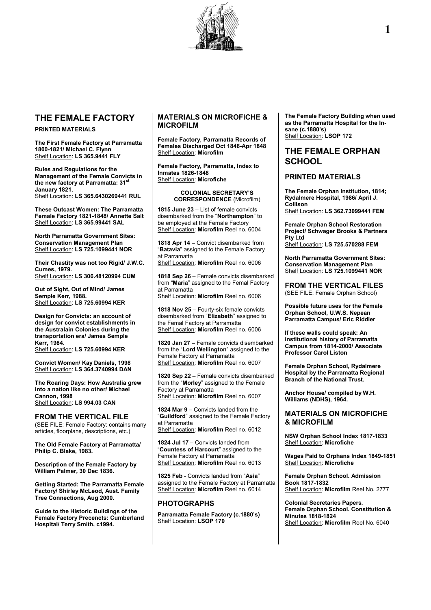

# **THE FEMALE FACTORY**

#### **PRINTED MATERIALS**

**The First Female Factory at Parramatta 1800-1821/ Michael C. Flynn** Shelf Location: **LS 365.9441 FLY**

**Rules and Regulations for the Management of the Female Convicts in the new factory at Parramatta: 31st January 1821.** Shelf Location: **LS 365.6430269441 RUL**

**These Outcast Women: The Parramatta Female Factory 1821-1848/ Annette Salt** Shelf Location: **LS 365.99441 SAL**

**North Parramatta Government Sites: Conservation Management Plan** Shelf Location: **LS 725.1099441 NOR**

**Their Chastity was not too Rigid/ J.W.C. Cumes, 1979.** Shelf Location: **LS 306.48120994 CUM**

**Out of Sight, Out of Mind/ James Semple Kerr, 1988.** Shelf Location: **LS 725.60994 KER**

**Design for Convicts: an account of design for convict establishments in the Australain Colonies during the transportation era/ James Semple Kerr, 1984.** Shelf Location: **LS 725.60994 KER**

**Convict Women/ Kay Daniels, 1998** Shelf Location: **LS 364.3740994 DAN**

**The Roaring Days: How Australia grew into a nation like no other/ Michael Cannon, 1998** Shelf Location: **LS 994.03 CAN**

**FROM THE VERTICAL FILE** (SEE FILE: Female Factory: contains many articles, floorplans, descriptions, etc.)

**The Old Female Factory at Parramatta/ Philip C. Blake, 1983.**

**Description of the Female Factory by William Palmer, 30 Dec 1836.**

**Getting Started: The Parramatta Female Factory/ Shirley McLeod, Aust. Family Tree Connections, Aug 2000.**

**Guide to the Historic Buildings of the Female Factory Precencts: Cumberland Hospital/ Terry Smith, c1994.**

## **MATERIALS ON MICROFICHE & MICROFILM**

**Female Factory, Parramatta Records of Females Discharged Oct 1846-Apr 1848** Shelf Location: **Microfilm**

**Female Factory, Parramatta, Index to Inmates 1826-1848** Shelf Location: **Microfiche**

#### **COLONIAL SECRETARY'S CORRESPONDENCE** (Microfilm)

**1815 June 23** – List of female convicts disembarked from the "**Northampton**" to be employed at the Female Factory Shelf Location: **Microfilm** Reel no. 6004

**1818 Apr 14** – Convict disembarked from "**Batavia**" assigned to the Female Factory at Parramatta

Shelf Location: **Microfilm** Reel no. 6006

**1818 Sep 26** – Female convicts disembarked from "**Maria**" assigned to the Femal Factory at Parramatta Shelf Location: **Microfilm** Reel no. 6006

**1818 Nov 25** – Fourty-six female convicts disembarked from "**Elizabeth**" assigned to the Femal Factory at Parramatta Shelf Location: **Microfilm** Reel no. 6006

**1820 Jan 27** – Female convicts disembarked from the "**Lord Wellington**" assigned to the Female Factory at Parramatta Shelf Location: **Microfilm** Reel no. 6007

**1820 Sep 22** – Female convicts disembarked from the "**Morley**" assigned to the Female Factory at Parramatta Shelf Location: **Microfilm** Reel no. 6007

**1824 Mar 9** – Convicts landed from the "**Guildford**" assigned to the Female Factory at Parramatta Shelf Location: **Microfilm** Reel no. 6012

**1824 Jul 17** – Convicts landed from "**Countess of Harcourt**" assigned to the Female Factory at Parramatta Shelf Location: **Microfilm** Reel no. 6013

**1825 Feb** - Convicts landed from "**Asia**" assigned to the Female Factory at Parramatta Shelf Location: **Microfilm** Reel no. 6014

#### **PHOTOGRAPHS**

**Parramatta Female Factory (c.1880's)** Shelf Location: **LSOP 170**

**The Female Factory Building when used as the Parramatta Hospital for the Insane (c.1880's)** Shelf Location: **LSOP 172**

# **THE FEMALE ORPHAN SCHOOL**

#### **PRINTED MATERIALS**

**The Female Orphan Institution, 1814; Rydalmere Hospital, 1986/ April J. Collison**

Shelf Location: **LS 362.73099441 FEM**

**Female Orphan School Restoration Project/ Schwager Brooks & Partners Pty Ltd** Shelf Location: **LS 725.570288 FEM**

**North Parramatta Government Sites: Conservation Management Plan** Shelf Location: **LS 725.1099441 NOR**

**FROM THE VERTICAL FILES** (SEE FILE: Female Orphan School)

**Possible future uses for the Female Orphan School, U.W.S. Nepean Parramatta Campus/ Eric Riddler**

**If these walls could speak: An institutional history of Parramatta Campus from 1814-2000/ Associate Professor Carol Liston**

**Female Orphan School, Rydalmere Hospital by the Parramatta Regional Branch of the National Trust.**

**Anchor House/ compiled by W.H. Williams (NDHS), 1964.**

### **MATERIALS ON MICROFICHE & MICROFILM**

**NSW Orphan School Index 1817-1833** Shelf Location: **Microfiche**

**Wages Paid to Orphans Index 1849-1851** Shelf Location: **Microfiche**

**Female Orphan School. Admission Book 1817-1832** Shelf Location: **Microfilm** Reel No. 2777

**Colonial Secretaries Papers. Female Orphan School. Constitution & Minutes 1818-1824** Shelf Location: **Microfilm** Reel No. 6040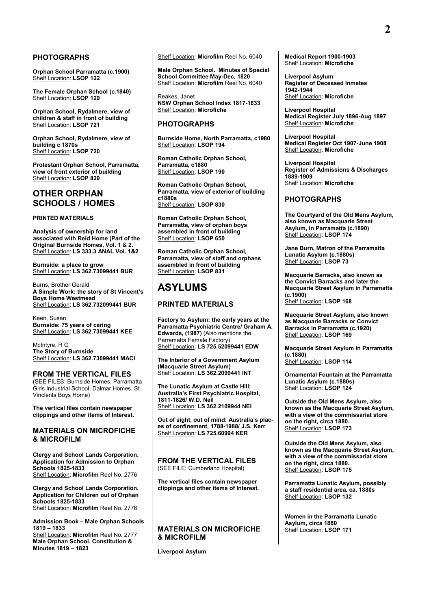#### **PHOTOGRAPHS**

**Orphan School Parramatta (c.1900)** Shelf Location: **LSOP 122**

**The Female Orphan School (c.1840)** Shelf Location: **LSOP 129**

**Orphan School, Rydalmere, view of children & staff in front of building** Shelf Location: **LSOP 721**

**Orphan School, Rydalmere, view of building c 1870s** Shelf Location: **LSOP 720**

**Protestant Orphan School, Parramatta, view of front exterior of building** Shelf Location: **LSOP 829**

# **OTHER ORPHAN SCHOOLS / HOMES**

#### **PRINTED MATERIALS**

**Analysis of ownership for land associated with Reid Home (Part of the Original Burnside Homes, Vol. 1 & 2.** Shelf Location: **LS 333.3 ANAL Vol. 1&2**

**Burnside: a place to grow** Shelf Location: **LS 362.73099441 BUR**

Burns, Brother Gerald **A Simple Work: the story of St Vincent's Boys Home Westmead** Shelf Location: **LS 362.732099441 BUR**

Keen, Susan **Burnside: 75 years of caring** Shelf Location: **LS 362.73099441 KEE**

McIntyre, R G **The Story of Burnside** Shelf Location: **LS 362.73099441 MACI**

**FROM THE VERTICAL FILES** (SEE FILES: Burnside Homes, Parramatta Girls Industrial School, Dalmar Homes, St Vinclents Boys Home)

**The vertical files contain newspaper clippings and other items of Interest.**

#### **MATERIALS ON MICROFICHE & MICROFILM**

**Clergy and School Lands Corporation. Application for Admission to Orphan Schools 1825-1833**  Shelf Location: **Microfilm** Reel No. 2776

**Clergy and School Lands Corporation. Application for Children out of Orphan Schools 1825-1833**  Shelf Location: **Microfilm** Reel No. 2776

**Admission Book – Male Orphan Schools 1819 – 1833** 

Shelf Location: **Microfilm** Reel No. 2777 **Male Orphan School. Constitution & Minutes 1819 – 1823** 

Shelf Location: **Microfilm** Reel No. 6040

**Male Orphan School. Minutes of Special School Committee May-Dec, 1820**  Shelf Location: **Microfilm** Reel No. 6040

Reakes, Janet **NSW Orphan School Index 1817-1833** Shelf Location: **Microfiche**

#### **PHOTOGRAPHS**

**Burnside Home, North Parramatta, c1980** Shelf Location: **LSOP 194**

**Roman Catholic Orphan School, Parramatta, c1880** Shelf Location: **LSOP 190**

**Roman Catholic Orphan School, Parramatta, view of exterior of building c1880s** Shelf Location: **LSOP 830**

**Roman Catholic Orphan School, Parramatta, view of orphan boys assembled in front of building** Shelf Location: **LSOP 650**

**Roman Catholic Orphan School, Parramatta, view of staff and orphans assembled in front of building** Shelf Location: **LSOP 831**

# **ASYLUMS**

#### **PRINTED MATERIALS**

**Factory to Asylum: the early years at the Parramatta Psychiatric Centre/ Graham A. Edwards, (1987)** (Also mentions the Parramatta Female Factory) Shelf Location: **LS 725.52099441 EDW**

**The Interior of a Government Asylum (Macquarie Street Asylum)** Shelf Location: **LS 362.2099441 INT**

**The Lunatic Asylum at Castle Hill: Australia's First Psychiatric Hospital, 1811-1826/ W.D. Neil** Shelf Location: **LS 362.2109944 NEI**

**Out of sight, out of mind: Australia's places of confinement, 1788-1988/ J.S. Kerr** Shelf Location: **LS 725.60994 KER**

**FROM THE VERTICAL FILES** (SEE FILE: Cumberland Hospital)

**The vertical files contain newspaper clippings and other items of Interest.**

#### **MATERIALS ON MICROFICHE & MICROFILM**

**Liverpool Asylum**

**Medical Report 1900-1903** Shelf Location: **Microfiche**

**Liverpool Asylum Register of Deceased Inmates 1942-1944** Shelf Location: **Microfiche**

**Liverpool Hospital Medical Register July 1896-Aug 1897** Shelf Location: **Microfiche**

**Liverpool Hospital Medical Register Oct 1907-June 1908** Shelf Location: **Microfiche**

**Liverpool Hospital Register of Admissions & Discharges 1889-1909** Shelf Location: **Microfiche**

#### **PHOTOGRAPHS**

**The Courtyard of the Old Mens Asylum, also known as Macquarie Street Asylum, in Parramatta (c.1890)** Shelf Location: **LSOP 174**

**Jane Burn, Matron of the Parramatta Lunatic Asylum (c.1880s)** Shelf Location: **LSOP 73**

**Macquarie Barracks, also known as the Convict Barracks and later the Macquarie Street Asylum in Parramatta (c.1900)** Shelf Location: **LSOP 168**

**Macquarie Street Asylum, also known as Macquarie Barracks or Convict Barracks in Parramatta (c.1920)** Shelf Location: **LSOP 169**

**Macquarie Street Asylum in Parramatta (c.1880)** Shelf Location: **LSOP 114**

**Ornamental Fountain at the Parramatta Lunatic Asylum (c.1880s)** Shelf Location: LSOP 124

**Outside the Old Mens Asylum, also known as the Macquarie Street Asylum, with a view of the commissariat store on the right, circa 1880.** Shelf Location: **LSOP 173**

**Outside the Old Mens Asylum, also known as the Macquarie Street Asylum, with a view of the commissariat store on the right, circa 1880.** Shelf Location: **LSOP 175**

**Parramatta Lunatic Asylum, possibly a staff residential area, ca. 1880s** Shelf Location: **LSOP 132**

**Women in the Parramatta Lunatic Asylum, circa 1880** Shelf Location: **LSOP 171**